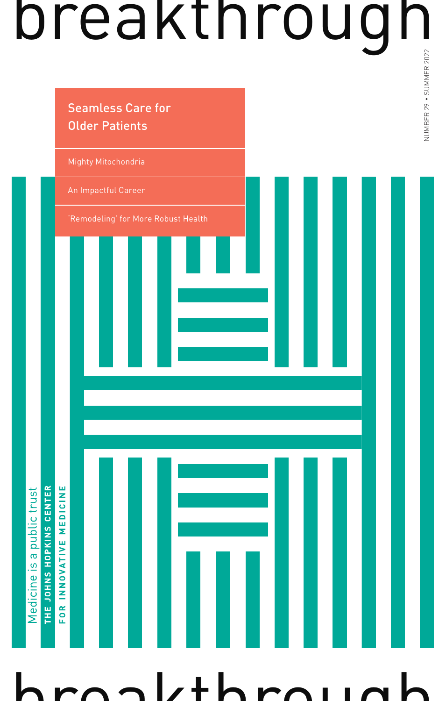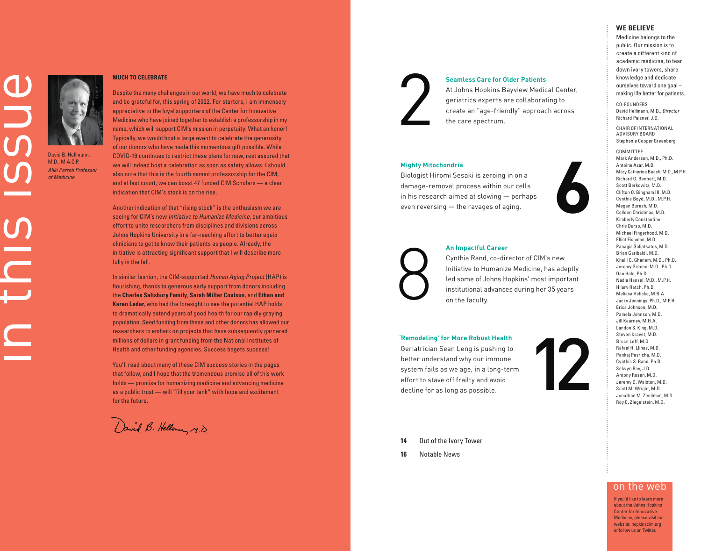

### David B. Hellmann, M.D., M.A.C.P. *Aliki Perroti Professor of Medicine*

### **MUCH TO CELEBRATE**

Despite the many challenges in our world, we have much to celebrate and be grateful for, this spring of 2022. For starters, I am immensely appreciative to the loyal supporters of the Center for Innovative Medicine who have joined together to establish a professorship in my name, which will support CIM's mission in perpetuity. What an honor! Typically, we would host a large event to celebrate the generosity of our donors who have made this momentous gift possible. While COVID-19 continues to restrict these plans for now, rest assured that we will indeed host a celebration as soon as safety allows. I should also note that this is the fourth named professorship for the CIM, and at last count, we can boast 47 funded CIM Scholars — a clear indication that CIM's stock is on the rise.

Another indication of that "rising stock" is the enthusiasm we are seeing for CIM's new Initiative to Humanize Medicine, our ambitious effort to unite researchers from disciplines and divisions across Johns Hopkins University in a far-reaching effort to better equip clinicians to get to know their patients as people. Already, the initiative is attracting significant support that I will describe more fully in the fall.

In similar fashion, the CIM-supported Human Aging Project (HAP) is flourishing, thanks to generous early support from donors including the **Charles Salisbury Family**, **Sarah Miller Coulson**, and **Ethan and Karen Leder**, who had the foresight to see the potential HAP holds to dramatically extend years of good health for our rapidly graying population. Seed funding from these and other donors has allowed our researchers to embark on projects that have subsequently garnered millions of dollars in grant funding from the National Institutes of Health and other funding agencies. Success begets success!

You'll read about many of these CIM success stories in the pages that follow, and I hope that the tremendous promise all of this work holds — promise for humanizing medicine and advancing medicine as a public trust — will "fill your tank" with hope and excitement for the future.

David B. Hellow, M.D.

### **Seamless Care for Older Patients**

At Johns Hopkins Bayview Medical Center, geriatrics experts are collaborating to create an "age-friendly" approach across the care spectrum.

#### **Mighty Mitochondria**

Biologist Hiromi Sesaki is zeroing in on a damage-removal process within our cells in his research aimed at slowing — perhaps even reversing — the ravages of aging.



### **An Impactful Career**

Cynthia Rand, co-director of CIM's new Initiative to Humanize Medicine, has adeptly led some of Johns Hopkins' most important institutional advances during her 35 years on the faculty.

### **'Remodeling' for More Robust Health**

Geriatrician Sean Leng is pushing to better understand why our immune system fails as we age, in a long-term effort to stave off frailty and avoid Seamless Care for<br>At Johns Hopkin<br>geriatrics exper<br>create an "age-f<br>the care spectru<br>damage-removal process with<br>in his research aimed at slowin<br>even reversing — the ravages of<br>even reversing — the ravages of<br>Cynthia Rand,



**6**

Mary Catherine Beach, M.D., M.P.H. Richard G. Bennett, M.D. Scott Berkowitz, M.D. Clifton O. Bingham III, M.D. Cynthia Boyd, M.D., M.P.H. Megan Buresh, M.D. Colleen Christmas, M.D. Kimberly Constantine Chris Durso, M.D. Michael Fingerhood, M.D. Elliot Fishman, M.D. Panagis Galiatsatos, M.D. Brian Garibaldi, M.D. Khalil G. Ghanem, M.D., Ph.D. Jeremy Greene, M.D., Ph.D. Dan Hale, Ph.D. Nadia Hansel, M.D., M.P.H. Hilary Hatch, Ph.D. Melissa Helicke, M.B.A. Jacky Jennings, Ph.D., M.P.H. Erica Johnson, M.D. Pamela Johnson, M.D. Jill Kearney, M.H.A. Landon S. King, M.D. Steven Kravet, M.D. Bruce Leff, M.D. Rafael H. Llinas, M.D. Pankaj Pasricha, M.D. Cynthia S. Rand, Ph.D. Selwyn Ray, J.D. Antony Rosen, M.D. Jeremy D. Walston, M.D. Scott M. Wright, M.D. Jonathan M. Zenilman, M.D.

- **14** Out of the Ivory Tower
- **16** Notable News

### on the web

Roy C. Ziegelstein, M.D.

If you'd like to learn more about the Johns Hopkins Center for Innovative Medicine, please visit our website: hopkinscim.org or follow us on Twitter.

#### **WE BELIEVE**

Medicine belongs to the public. Our mission is to create a different kind of academic medicine, to tear down ivory towers, share knowledge and dedicate ourselves toward one goal – making life better for patients.

CO-FOUNDERS David Hellmann, M.D., *Director* Richard Paisner, J.D.

CHAIR OF INTERNATIONAL ADVISORY BOARD Stephanie Cooper Greenberg

Mark Anderson, M.D., Ph.D. Antoine Azar, M.D.

COMMITTEE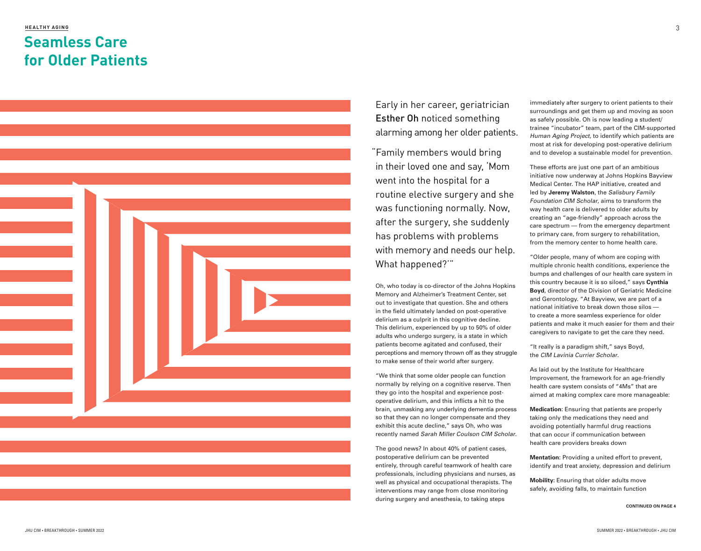### **HEALTHY AGING Seamless Care for Older Patients**



Early in her career, geriatrician Esther Oh noticed something alarming among her older patients.

 "Family members would bring in their loved one and say, 'Mom went into the hospital for a routine elective surgery and she was functioning normally. Now, after the surgery, she suddenly has problems with problems with memory and needs our help. What happened?'"

Oh, who today is co-director of the Johns Hopkins Memory and Alzheimer's Treatment Center, set out to investigate that question. She and others in the field ultimately landed on post-operative delirium as a culprit in this cognitive decline. This delirium, experienced by up to 50% of older adults who undergo surgery, is a state in which patients become agitated and confused, their perceptions and memory thrown off as they struggle to make sense of their world after surgery.

"We think that some older people can function normally by relying on a cognitive reserve. Then they go into the hospital and experience postoperative delirium, and this inflicts a hit to the brain, unmasking any underlying dementia process so that they can no longer compensate and they exhibit this acute decline," says Oh, who was recently named Sarah Miller Coulson CIM Scholar.

The good news? In about 40% of patient cases, postoperative delirium can be prevented entirely, through careful teamwork of health care professionals, including physicians and nurses, as well as physical and occupational therapists. The interventions may range from close monitoring during surgery and anesthesia, to taking steps

immediately after surgery to orient patients to their surroundings and get them up and moving as soon as safely possible. Oh is now leading a student/ trainee "incubator" team, part of the CIM-supported Human Aging Project, to identify which patients are most at risk for developing post-operative delirium and to develop a sustainable model for prevention.

These efforts are just one part of an ambitious initiative now underway at Johns Hopkins Bayview Medical Center. The HAP initiative, created and led by **Jeremy Walston**, the Salisbury Family Foundation CIM Scholar, aims to transform the way health care is delivered to older adults by creating an "age-friendly" approach across the care spectrum — from the emergency department to primary care, from surgery to rehabilitation, from the memory center to home health care.

"Older people, many of whom are coping with multiple chronic health conditions, experience the bumps and challenges of our health care system in this country because it is so siloed," says **Cynthia Boyd**, director of the Division of Geriatric Medicine and Gerontology. "At Bayview, we are part of a national initiative to break down those silos to create a more seamless experience for older patients and make it much easier for them and their caregivers to navigate to get the care they need.

"It really is a paradigm shift," says Boyd, the CIM Lavinia Currier Scholar.

As laid out by the Institute for Healthcare Improvement, the framework for an age-friendly health care system consists of "4Ms" that are aimed at making complex care more manageable:

**Medication**: Ensuring that patients are properly taking only the medications they need and avoiding potentially harmful drug reactions that can occur if communication between health care providers breaks down

**Mentation**: Providing a united effort to prevent, identify and treat anxiety, depression and delirium

**Mobility:** Ensuring that older adults move safely, avoiding falls, to maintain function

**CONTINUED ON PAGE 4**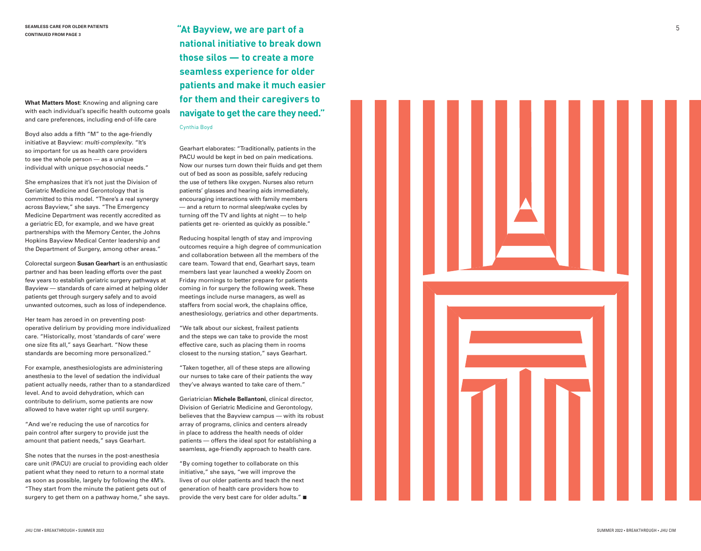**What Matters Most**: Knowing and aligning care with each individual's specific health outcome goals and care preferences, including end-of-life care

Boyd also adds a fifth "M" to the age-friendly initiative at Bayview: multi-complexity. "It's so important for us as health care providers to see the whole person — as a unique individual with unique psychosocial needs."

She emphasizes that it's not just the Division of Geriatric Medicine and Gerontology that is committed to this model. "There's a real synergy across Bayview," she says. "The Emergency Medicine Department was recently accredited as a geriatric ED, for example, and we have great partnerships with the Memory Center, the Johns Hopkins Bayview Medical Center leadership and the Department of Surgery, among other areas."

Colorectal surgeon **Susan Gearhart** is an enthusiastic partner and has been leading efforts over the past few years to establish geriatric surgery pathways at Bayview — standards of care aimed at helping older patients get through surgery safely and to avoid unwanted outcomes, such as loss of independence.

Her team has zeroed in on preventing postoperative delirium by providing more individualized care. "Historically, most 'standards of care' were one size fits all," says Gearhart. "Now these standards are becoming more personalized."

For example, anesthesiologists are administering anesthesia to the level of sedation the individual patient actually needs, rather than to a standardized level. And to avoid dehydration, which can contribute to delirium, some patients are now allowed to have water right up until surgery.

"And we're reducing the use of narcotics for pain control after surgery to provide just the amount that patient needs," says Gearhart.

She notes that the nurses in the post-anesthesia care unit (PACU) are crucial to providing each older patient what they need to return to a normal state as soon as possible, largely by following the 4M's. "They start from the minute the patient gets out of surgery to get them on a pathway home," she says. **"At Bayview, we are part of a national initiative to break down those silos — to create a more seamless experience for older patients and make it much easier for them and their caregivers to navigate to get the care they need."** Cynthia Boyd

Gearhart elaborates: "Traditionally, patients in the PACU would be kept in bed on pain medications. Now our nurses turn down their fluids and get them out of bed as soon as possible, safely reducing the use of tethers like oxygen. Nurses also return patients' glasses and hearing aids immediately, encouraging interactions with family members — and a return to normal sleep/wake cycles by turning off the TV and lights at night — to help patients get re- oriented as quickly as possible."

Reducing hospital length of stay and improving outcomes require a high degree of communication and collaboration between all the members of the care team. Toward that end, Gearhart says, team members last year launched a weekly Zoom on Friday mornings to better prepare for patients coming in for surgery the following week. These meetings include nurse managers, as well as staffers from social work, the chaplains office, anesthesiology, geriatrics and other departments.

"We talk about our sickest, frailest patients and the steps we can take to provide the most effective care, such as placing them in rooms closest to the nursing station," says Gearhart.

"Taken together, all of these steps are allowing our nurses to take care of their patients the way they've always wanted to take care of them."

Geriatrician **Michele Bellantoni**, clinical director, Division of Geriatric Medicine and Gerontology, believes that the Bayview campus — with its robust array of programs, clinics and centers already in place to address the health needs of older patients — offers the ideal spot for establishing a seamless, age-friendly approach to health care.

"By coming together to collaborate on this initiative," she says, "we will improve the lives of our older patients and teach the next generation of health care providers how to provide the very best care for older adults."

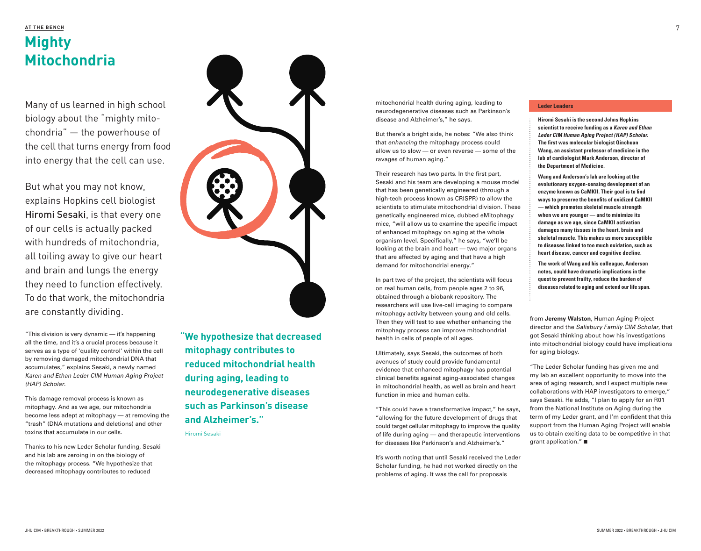## **AT THE BENCH Mighty Mitochondria**

Many of us learned in high school biology about the "mighty mitochondria" — the powerhouse of the cell that turns energy from food into energy that the cell can use.

But what you may not know, explains Hopkins cell biologist Hiromi Sesaki, is that every one of our cells is actually packed with hundreds of mitochondria, all toiling away to give our heart and brain and lungs the energy they need to function effectively. To do that work, the mitochondria are constantly dividing.

"This division is very dynamic — it's happening all the time, and it's a crucial process because it serves as a type of 'quality control' within the cell by removing damaged mitochondrial DNA that accumulates," explains Sesaki, a newly named Karen and Ethan Leder CIM Human Aging Project (HAP) Scholar.

This damage removal process is known as mitophagy. And as we age, our mitochondria become less adept at mitophagy — at removing the "trash" (DNA mutations and deletions) and other toxins that accumulate in our cells.

Thanks to his new Leder Scholar funding, Sesaki and his lab are zeroing in on the biology of the mitophagy process. "We hypothesize that decreased mitophagy contributes to reduced



**"We hypothesize that decreased mitophagy contributes to reduced mitochondrial health during aging, leading to neurodegenerative diseases such as Parkinson's disease and Alzheimer's."**

Hiromi Sesaki

mitochondrial health during aging, leading to neurodegenerative diseases such as Parkinson's disease and Alzheimer's," he says.

But there's a bright side, he notes: "We also think that enhancing the mitophagy process could allow us to slow — or even reverse — some of the ravages of human aging."

Their research has two parts. In the first part, Sesaki and his team are developing a mouse model that has been genetically engineered (through a high-tech process known as CRISPR) to allow the scientists to stimulate mitochondrial division. These genetically engineered mice, dubbed eMitophagy mice, "will allow us to examine the specific impact of enhanced mitophagy on aging at the whole organism level. Specifically," he says, "we'll be looking at the brain and heart — two major organs that are affected by aging and that have a high demand for mitochondrial energy."

In part two of the project, the scientists will focus on real human cells, from people ages 2 to 96, obtained through a biobank repository. The researchers will use live-cell imaging to compare mitophagy activity between young and old cells. Then they will test to see whether enhancing the mitophagy process can improve mitochondrial health in cells of people of all ages.

Ultimately, says Sesaki, the outcomes of both avenues of study could provide fundamental evidence that enhanced mitophagy has potential clinical benefits against aging-associated changes in mitochondrial health, as well as brain and heart function in mice and human cells.

"This could have a transformative impact," he says, "allowing for the future development of drugs that could target cellular mitophagy to improve the quality of life during aging — and therapeutic interventions for diseases like Parkinson's and Alzheimer's."

It's worth noting that until Sesaki received the Leder Scholar funding, he had not worked directly on the problems of aging. It was the call for proposals

### **Leder Leaders**

**Hiromi Sesaki is the second Johns Hopkins scientist to receive funding as a Karen and Ethan Leder CIM Human Aging Project (HAP) Scholar. The first was molecular biologist Qinchuan Wang, an assistant professor of medicine in the lab of cardiologist Mark Anderson, director of the Department of Medicine.**

**Wang and Anderson's lab are looking at the evolutionary oxygen-sensing development of an enzyme known as CaMKII. Their goal is to find ways to preserve the benefits of oxidized CaMKII — which promotes skeletal muscle strength when we are younger — and to minimize its damage as we age, since CaMKII activation damages many tissues in the heart, brain and skeletal muscle. This makes us more susceptible to diseases linked to too much oxidation, such as heart disease, cancer and cognitive decline.**

**The work of Wang and his colleague, Anderson notes, could have dramatic implications in the quest to prevent frailty, reduce the burden of diseases related to aging and extend our life span.** 

from **Jeremy Walston**, Human Aging Project director and the Salisbury Family CIM Scholar, that got Sesaki thinking about how his investigations into mitochondrial biology could have implications for aging biology.

"The Leder Scholar funding has given me and my lab an excellent opportunity to move into the area of aging research, and I expect multiple new collaborations with HAP investigators to emerge," says Sesaki. He adds, "I plan to apply for an R01 from the National Institute on Aging during the term of my Leder grant, and I'm confident that this support from the Human Aging Project will enable us to obtain exciting data to be competitive in that grant application." $\blacksquare$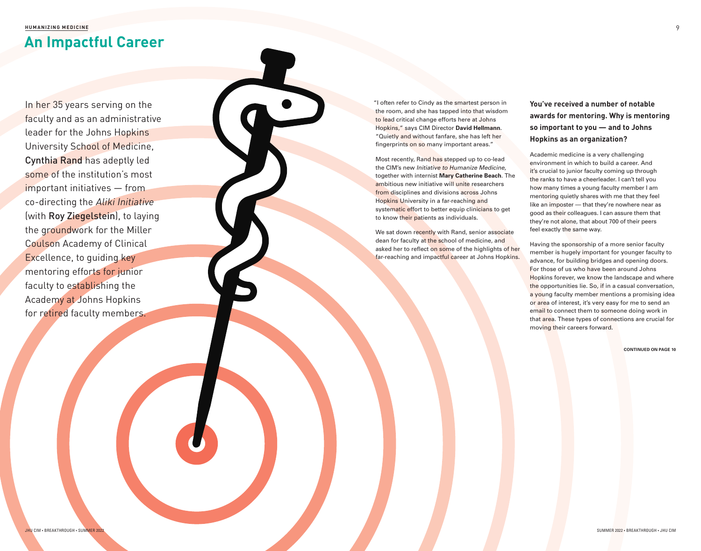**HUMANIZING MEDICINE**

# **An Impactful Career**

In her 35 years serving on the faculty and as an administrative leader for the Johns Hopkins University School of Medicine, Cynthia Rand has adeptly led some of the institution's most important initiatives — from co-directing the Aliki Initiative (with Roy Ziegelstein), to laying the groundwork for the Miller Coulson Academy of Clinical Excellence, to guiding key mentoring efforts for junior faculty to establishing the Academy at Johns Hopkins for retired faculty members.

 "I often refer to Cindy as the smartest person in the room, and she has tapped into that wisdom to lead critical change efforts here at Johns Hopkins," says CIM Director **David Hellmann**. "Quietly and without fanfare, she has left her fingerprints on so many important areas."

Most recently, Rand has stepped up to co-lead the CIM's new Initiative to Humanize Medicine, together with internist **Mary Catherine Beach**. The ambitious new initiative will unite researchers from disciplines and divisions across Johns Hopkins University in a far-reaching and systematic effort to better equip clinicians to get to know their patients as individuals.

We sat down recently with Rand, senior associate dean for faculty at the school of medicine, and asked her to reflect on some of the highlights of her far-reaching and impactful career at Johns Hopkins. **You've received a number of notable awards for mentoring. Why is mentoring so important to you — and to Johns Hopkins as an organization?**

Academic medicine is a very challenging environment in which to build a career. And it's crucial to junior faculty coming up through the ranks to have a cheerleader. I can't tell you how many times a young faculty member I am mentoring quietly shares with me that they feel like an imposter — that they're nowhere near as good as their colleagues. I can assure them that they're not alone, that about 700 of their peers feel exactly the same way.

Having the sponsorship of a more senior faculty member is hugely important for younger faculty to advance, for building bridges and opening doors. For those of us who have been around Johns Hopkins forever, we know the landscape and where the opportunities lie. So, if in a casual conversation, a young faculty member mentions a promising idea or area of interest, it's very easy for me to send an email to connect them to someone doing work in that area. These types of connections are crucial for moving their careers forward.

**CONTINUED ON PAGE 10**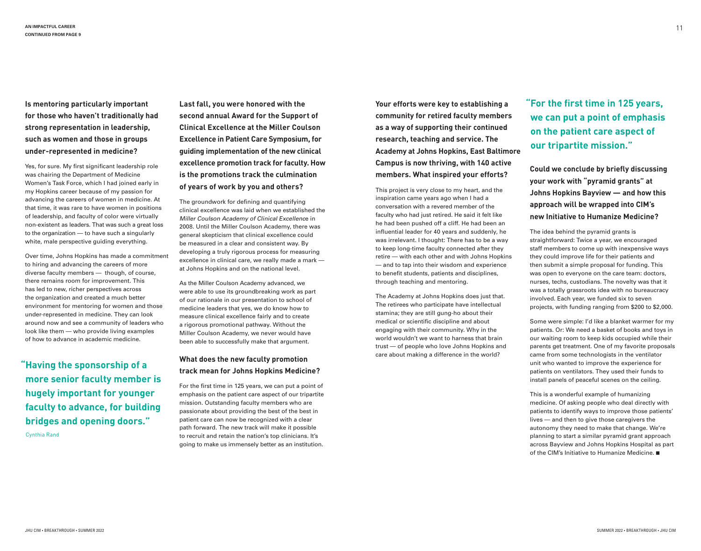**Is mentoring particularly important for those who haven't traditionally had strong representation in leadership, such as women and those in groups under-represented in medicine?**

Yes, for sure. My first significant leadership role was chairing the Department of Medicine Women's Task Force, which I had joined early in my Hopkins career because of my passion for advancing the careers of women in medicine. At that time, it was rare to have women in positions of leadership, and faculty of color were virtually non-existent as leaders. That was such a great loss to the organization — to have such a singularly white, male perspective guiding everything.

Over time, Johns Hopkins has made a commitment to hiring and advancing the careers of more diverse faculty members — though, of course, there remains room for improvement. This has led to new, richer perspectives across the organization and created a much better environment for mentoring for women and those under-represented in medicine. They can look around now and see a community of leaders who look like them — who provide living examples of how to advance in academic medicine.

**"Having the sponsorship of a more senior faculty member is hugely important for younger faculty to advance, for building bridges and opening doors."** Cynthia Rand

**Last fall, you were honored with the second annual Award for the Support of Clinical Excellence at the Miller Coulson Excellence in Patient Care Symposium, for guiding implementation of the new clinical excellence promotion track for faculty. How is the promotions track the culmination of years of work by you and others?**

The groundwork for defining and quantifying clinical excellence was laid when we established the Miller Coulson Academy of Clinical Excellence in 2008. Until the Miller Coulson Academy, there was general skepticism that clinical excellence could be measured in a clear and consistent way. By developing a truly rigorous process for measuring excellence in clinical care, we really made a mark at Johns Hopkins and on the national level.

As the Miller Coulson Academy advanced, we were able to use its groundbreaking work as part of our rationale in our presentation to school of medicine leaders that yes, we do know how to measure clinical excellence fairly and to create a rigorous promotional pathway. Without the Miller Coulson Academy, we never would have been able to successfully make that argument.

### **What does the new faculty promotion track mean for Johns Hopkins Medicine?**

For the first time in 125 years, we can put a point of emphasis on the patient care aspect of our tripartite mission. Outstanding faculty members who are passionate about providing the best of the best in patient care can now be recognized with a clear path forward. The new track will make it possible to recruit and retain the nation's top clinicians. It's going to make us immensely better as an institution.

**Your efforts were key to establishing a community for retired faculty members as a way of supporting their continued research, teaching and service. The Academy at Johns Hopkins, East Baltimore Campus is now thriving, with 140 active members. What inspired your efforts?**

This project is very close to my heart, and the inspiration came years ago when I had a conversation with a revered member of the faculty who had just retired. He said it felt like he had been pushed off a cliff. He had been an influential leader for 40 years and suddenly, he was irrelevant. I thought: There has to be a way to keep long-time faculty connected after they retire — with each other and with Johns Hopkins — and to tap into their wisdom and experience to benefit students, patients and disciplines, through teaching and mentoring.

The Academy at Johns Hopkins does just that. The retirees who participate have intellectual stamina; they are still gung-ho about their medical or scientific discipline and about engaging with their community. Why in the world wouldn't we want to harness that brain trust — of people who love Johns Hopkins and care about making a difference in the world?

**"For the first time in 125 years, we can put a point of emphasis on the patient care aspect of our tripartite mission."**

**Could we conclude by briefly discussing your work with "pyramid grants" at Johns Hopkins Bayview — and how this approach will be wrapped into CIM's new Initiative to Humanize Medicine?**

The idea behind the pyramid grants is straightforward: Twice a year, we encouraged staff members to come up with inexpensive ways they could improve life for their patients and then submit a simple proposal for funding. This was open to everyone on the care team: doctors, nurses, techs, custodians. The novelty was that it was a totally grassroots idea with no bureaucracy involved. Each year, we funded six to seven projects, with funding ranging from \$200 to \$2,000.

Some were simple: I'd like a blanket warmer for my patients. Or: We need a basket of books and toys in our waiting room to keep kids occupied while their parents get treatment. One of my favorite proposals came from some technologists in the ventilator unit who wanted to improve the experience for patients on ventilators. They used their funds to install panels of peaceful scenes on the ceiling.

This is a wonderful example of humanizing medicine. Of asking people who deal directly with patients to identify ways to improve those patients' lives — and then to give those caregivers the autonomy they need to make that change. We're planning to start a similar pyramid grant approach across Bayview and Johns Hopkins Hospital as part of the CIM's Initiative to Humanize Medicine.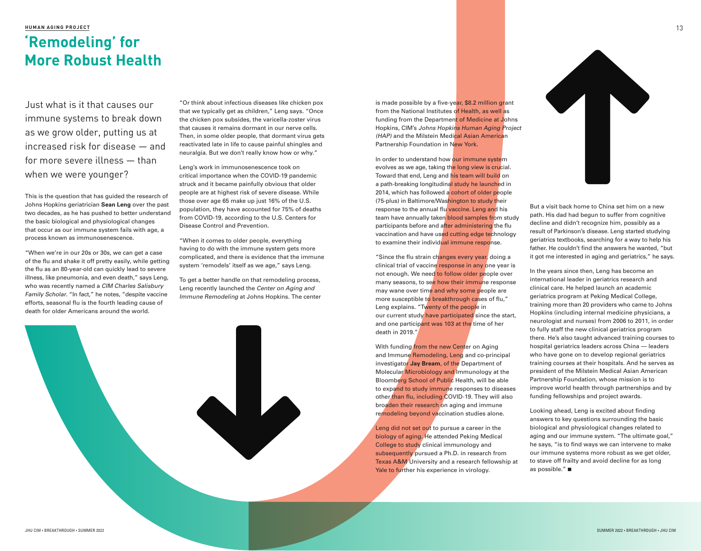### **HUMAN AGING PROJECT** 13

## **'Remodeling' for More Robust Health**

Just what is it that causes our immune systems to break down as we grow older, putting us at increased risk for disease — and for more severe illness — than when we were younger?

This is the question that has guided the research of Johns Hopkins geriatrician **Sean Leng** over the past two decades, as he has pushed to better understand the basic biological and physiological changes that occur as our immune system fails with age, a process known as immunosenescence.

"When we're in our 20s or 30s, we can get a case of the flu and shake it off pretty easily, while getting the flu as an 80-year-old can quickly lead to severe illness, like pneumonia, and even death," says Leng, who was recently named a CIM Charles Salisbury Family Scholar. "In fact," he notes, "despite vaccine efforts, seasonal flu is the fourth leading cause of death for older Americans around the world.

"Or think about infectious diseases like chicken pox that we typically get as children," Leng says. "Once the chicken pox subsides, the varicella-zoster virus that causes it remains dormant in our nerve cells. Then, in some older people, that dormant virus gets reactivated late in life to cause painful shingles and neuralgia. But we don't really know how or why."

Leng's work in immunosenescence took on critical importance when the COVID-19 pandemic struck and it became painfully obvious that older people are at highest risk of severe disease. While those over age 65 make up just 16% of the U.S. population, they have accounted for 75% of deaths from COVID-19, according to the U.S. Centers for Disease Control and Prevention.

"When it comes to older people, everything having to do with the immune system gets more complicated, and there is evidence that the immune system 'remodels' itself as we age," says Leng.

To get a better handle on that remodeling process, Leng recently launched the Center on Aging and Immune Remodeling at Johns Hopkins. The center

is made possible by a five-year, \$8.2 million grant from the National Institutes of Health, as well as funding from the Department of Medicine at Johns Hopkins, CIM's Johns Hopkins Human Aging Project (HAP) and the Milstein Medical Asian American Partnership Foundation in New York.

In order to understand how our immune system evolves as we age, taking the long view is crucial. Toward that end, Leng and his team will build on a path-breaking longitudinal study he launched in 2014, which has followed a cohort of older people (75-plus) in Baltimore/Washington to study their response to the annual flu vaccine. Leng and his team have annually taken blood samples from study participants before and after administering the flu vaccination and have used cutting edge technology to examine their individual immune response.

"Since the flu strain changes every year, doing a clinical trial of vaccine response in any one year is not enough. We need to follow older people over many seasons, to see how their immune response may wane over time and why some people are more susceptible to breakthrough cases of flu," Leng explains. "Twenty of the people in our current study have participated since the start, and one participant was 103 at the time of her death in 2019."

With funding from the new Center on Aging and Immune Remodeling, Leng and co-principal investigator **Jay Bream**, of the Department of Molecular Microbiology and Immunology at the Bloomberg School of Public Health, will be able to expand to study immune responses to diseases other than flu, including COVID-19. They will also broaden their research on aging and immune remodeling beyond vaccination studies alone.

Leng did not set out to pursue a career in the biology of aging. He attended Peking Medical College to study clinical immunology and subsequently pursued a Ph.D. in research from Texas A&M University and a research fellowship at Yale to further his experience in virology.



But a visit back home to China set him on a new path. His dad had begun to suffer from cognitive decline and didn't recognize him, possibly as a result of Parkinson's disease. Leng started studying geriatrics textbooks, searching for a way to help his father. He couldn't find the answers he wanted, "but it got me interested in aging and geriatrics," he says.

In the years since then, Leng has become an international leader in geriatrics research and clinical care. He helped launch an academic geriatrics program at Peking Medical College, training more than 20 providers who came to Johns Hopkins (including internal medicine physicians, a neurologist and nurses) from 2006 to 2011, in order to fully staff the new clinical geriatrics program there. He's also taught advanced training courses to hospital geriatrics leaders across China — leaders who have gone on to develop regional geriatrics training courses at their hospitals. And he serves as president of the Milstein Medical Asian American Partnership Foundation, whose mission is to improve world health through partnerships and by funding fellowships and project awards.

Looking ahead, Leng is excited about finding answers to key questions surrounding the basic biological and physiological changes related to aging and our immune system. "The ultimate goal," he says, "is to find ways we can intervene to make our immune systems more robust as we get older, to stave off frailty and avoid decline for as long as possible." $\blacksquare$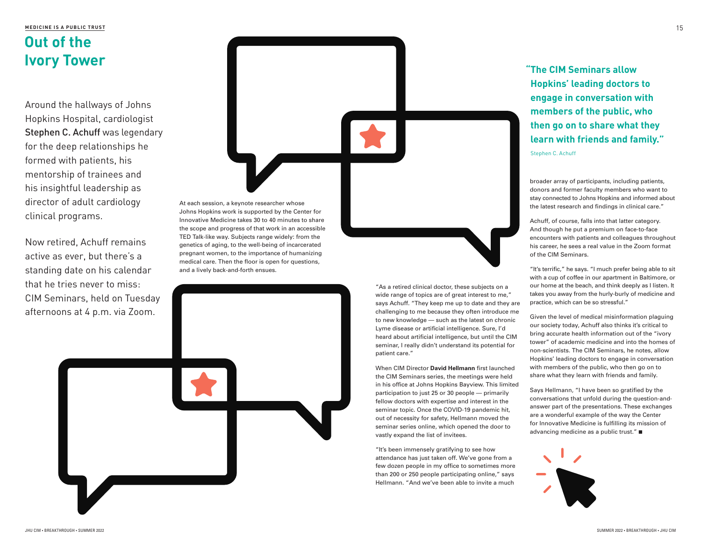### **MEDICINE IS A PUBLIC TRUST**

## **Out of the Ivory Tower**

Around the hallways of Johns Hopkins Hospital, cardiologist Stephen C. Achuff was legendary for the deep relationships he formed with patients, his mentorship of trainees and his insightful leadership as director of adult cardiology clinical programs.

Now retired, Achuff remains active as ever, but there's a standing date on his calendar that he tries never to miss: CIM Seminars, held on Tuesday afternoons at 4 p.m. via Zoom.



"As a retired clinical doctor, these subjects on a wide range of topics are of great interest to me," says Achuff. "They keep me up to date and they are challenging to me because they often introduce me to new knowledge — such as the latest on chronic Lyme disease or artificial intelligence. Sure, I'd heard about artificial intelligence, but until the CIM seminar, I really didn't understand its potential for patient care."

When CIM Director **David Hellmann** first launched the CIM Seminars series, the meetings were held in his office at Johns Hopkins Bayview. This limited participation to just 25 or 30 people — primarily fellow doctors with expertise and interest in the seminar topic. Once the COVID-19 pandemic hit, out of necessity for safety, Hellmann moved the seminar series online, which opened the door to vastly expand the list of invitees.

"It's been immensely gratifying to see how attendance has just taken off. We've gone from a few dozen people in my office to sometimes more than 200 or 250 people participating online," says Hellmann. "And we've been able to invite a much

**"The CIM Seminars allow Hopkins' leading doctors to engage in conversation with members of the public, who then go on to share what they learn with friends and family."**

Stephen C. Achuff

broader array of participants, including patients, donors and former faculty members who want to stay connected to Johns Hopkins and informed about the latest research and findings in clinical care."

Achuff, of course, falls into that latter category. And though he put a premium on face-to-face encounters with patients and colleagues throughout his career, he sees a real value in the Zoom format of the CIM Seminars.

"It's terrific," he says. "I much prefer being able to sit with a cup of coffee in our apartment in Baltimore, or our home at the beach, and think deeply as I listen. It takes you away from the hurly-burly of medicine and practice, which can be so stressful."

Given the level of medical misinformation plaguing our society today, Achuff also thinks it's critical to bring accurate health information out of the "ivory tower" of academic medicine and into the homes of non-scientists. The CIM Seminars, he notes, allow Hopkins' leading doctors to engage in conversation with members of the public, who then go on to share what they learn with friends and family.

Says Hellmann, "I have been so gratified by the conversations that unfold during the question-andanswer part of the presentations. These exchanges are a wonderful example of the way the Center for Innovative Medicine is fulfilling its mission of advancing medicine as a public trust." $\square$ 

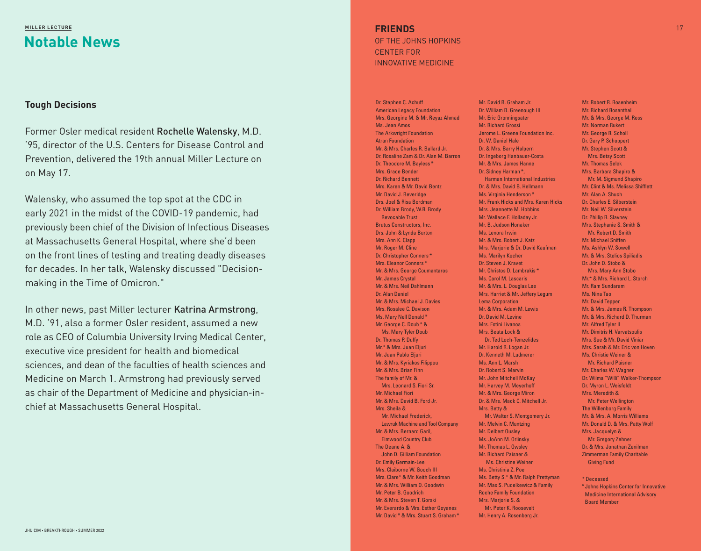### **Notable News MILLER LECTURE**

### **Tough Decisions**

Former Osler medical resident Rochelle Walensky, M.D. '95, director of the U.S. Centers for Disease Control and Prevention, delivered the 19th annual Miller Lecture on on May 17.

Walensky, who assumed the top spot at the CDC in early 2021 in the midst of the COVID-19 pandemic, had previously been chief of the Division of Infectious Diseases at Massachusetts General Hospital, where she'd been on the front lines of testing and treating deadly diseases for decades. In her talk, Walensky discussed "Decisionmaking in the Time of Omicron."

In other news, past Miller lecturer Katrina Armstrong, M.D. '91, also a former Osler resident, assumed a new role as CEO of Columbia University Irving Medical Center, executive vice president for health and biomedical sciences, and dean of the faculties of health sciences and Medicine on March 1. Armstrong had previously served as chair of the Department of Medicine and physician-inchief at Massachusetts General Hospital.

**FRIENDS** OF THE JOHNS HOPKINS CENTER FOR INNOVATIVE MEDICINE

Dr. Stephen C. Achuff American Legacy Foundation Mrs. Georgine M. & Mr. Reyaz Ahmad Ms. Jean Amos The Arkwright Foundation Atran Foundation Mr. & Mrs. Charles R. Ballard Jr. Dr. Rosaline Zam & Dr. Alan M. Barron Dr. Theodore M. Bayless \* Mrs. Grace Bender Dr. Richard Bennett Mrs. Karen & Mr. David Bentz Mr. David J. Beveridge Drs. Joel & Risa Bordman Dr. William Brody, W.R. Brody Revocable Trust Brutus Constructors, Inc. Drs. John & Lynda Burton Mrs. Ann K. Clapp Mr. Roger M. Cline Dr. Christopher Conners \* Mrs. Eleanor Conners \* Mr. & Mrs. George Coumantaros Mr. James Crystal Mr. & Mrs. Neil Dahlmann Dr. Alan Daniel Mr. & Mrs. Michael J. Davies Mrs. Rosalee C. Davison Ms. Mary Nell Donald \* Mr. George C. Doub \* & Ms. Mary Tyler Doub Dr. Thomas P. Duffy Mr.\* & Mrs. Juan Eljuri Mr. Juan Pablo Eljuri Mr. & Mrs. Kyriakos Filippou Mr. & Mrs. Brian Finn The family of Mr. & Mrs. Leonard S. Fiori Sr. Mr. Michael Fiori Mr. & Mrs. David B. Ford Jr. Mrs. Sheila & Mr. Michael Frederick, Lawruk Machine and Tool Company Mr. & Mrs. Bernard Garil, Elmwood Country Club The Deane A. & John D. Gilliam Foundation Dr. Emily Germain-Lee Mrs. Claiborne W. Gooch III Mrs. Clare\* & Mr. Keith Goodman Mr. & Mrs. William O. Goodwin Mr. Peter B. Goodrich Mr. & Mrs. Steven T. Gorski Mr. Everardo & Mrs. Esther Goyanes Mr. David \* & Mrs. Stuart S. Graham \*

Mr. David B. Graham Jr. Dr. William B. Greenough III Mr. Eric Gronningsater Mr. Richard Grossi Jerome L. Greene Foundation Inc. Dr. W. Daniel Hale Dr. & Mrs. Barry Halpern Dr. Ingeborg Hanbauer-Costa Mr. & Mrs. James Hanne Dr. Sidney Harman \*, Harman International Industries Dr. & Mrs. David B. Hellmann Ms. Virginia Henderson \* Mr. Frank Hicks and Mrs. Karen Hicks Mrs. Jeannette M. Hobbins Mr. Wallace F. Holladay Jr. Mr. B. Judson Honaker Ms. Lenora Irwin Mr. & Mrs. Robert J. Katz Mrs. Marjorie & Dr. David Kaufman Ms. Marilyn Kocher Dr. Steven J. Kravet Mr. Christos D. Lambrakis \* Ms. Carol M. Lascaris Mr. & Mrs. L. Douglas Lee Mrs. Harriet & Mr. Jeffery Legum Lema Corporation Mr. & Mrs. Adam M. Lewis Dr. David M. Levine Mrs. Fotini Livanos Mrs. Beata Lock & Dr. Ted Loch-Temzelides Mr. Harold R. Logan Jr. Dr. Kenneth M. Ludmerer Ms. Ann L. Marsh Dr. Robert S. Marvin Mr. John Mitchell McKay Mr. Harvey M. Meyerhoff Mr. & Mrs. George Miron Dr. & Mrs. Mack C. Mitchell Jr. Mrs. Betty & Mr. Walter S. Montgomery Jr. Mr. Melvin C. Muntzing Mr. Delbert Ousley Ms. JoAnn M. Orlinsky Mr. Thomas L. Owsley Mr. Richard Paisner & Ms. Christine Weiner Ms. Christinia Z. Poe Ms. Betty S.\* & Mr. Ralph Prettyman Mr. Max S. Pudelkewicz & Family Roche Family Foundation Mrs. Marjorie S. & Mr. Peter K. Roosevelt Mr. Henry A. Rosenberg Jr.

Mr. Robert R. Rosenheim Mr. Richard Rosenthal Mr. & Mrs. George M. Ross Mr. Norman Rukert Mr. George R. Scholl Dr. Gary P. Schoppert Mr. Stephen Scott & Mrs. Betsy Scott Mr. Thomas Selck Mrs. Barbara Shapiro & Mr. M. Sigmund Shapiro Mr. Clint & Ms. Melissa Shifflett Mr. Alan A. Shuch Dr. Charles E. Silberstein Mr. Neil W. Silverstein Dr. Phillip R. Slavney Mrs. Stephanie S. Smith & Mr. Robert D. Smith Mr. Michael Sniffen Ms. Ashlyn W. Sowell Mr. & Mrs. Stelios Spiliadis Dr. John D. Stobo & Mrs. Mary Ann Stobo Mr.\* & Mrs. Richard L. Storch Mr. Ram Sundaram Ms. Nina Tao Mr. David Tepper Mr. & Mrs. James R. Thompson Mr. & Mrs. Richard D. Thurman Mr. Alfred Tyler II Mr. Dimitris H. Varvatsoulis Mrs. Sue & Mr. David Viniar Mrs. Sarah & Mr. Eric von Hoven Ms. Christie Weiner & Mr. Richard Paisner Mr. Charles W. Wagner Dr. Wilma "Willi" Walker-Thompson Dr. Myron L. Weisfeldt Mrs. Meredith & Mr. Peter Wellington The Willenborg Family Mr. & Mrs. A. Morris Williams Mr. Donald D. & Mrs. Patty Wolf Mrs. Jacquelyn & Mr. Gregory Zehner Dr. & Mrs. Jonathan Zenilman Zimmerman Family Charitable Giving Fund \* Deceased

º Johns Hopkins Center for Innovative Medicine International Advisory Board Member